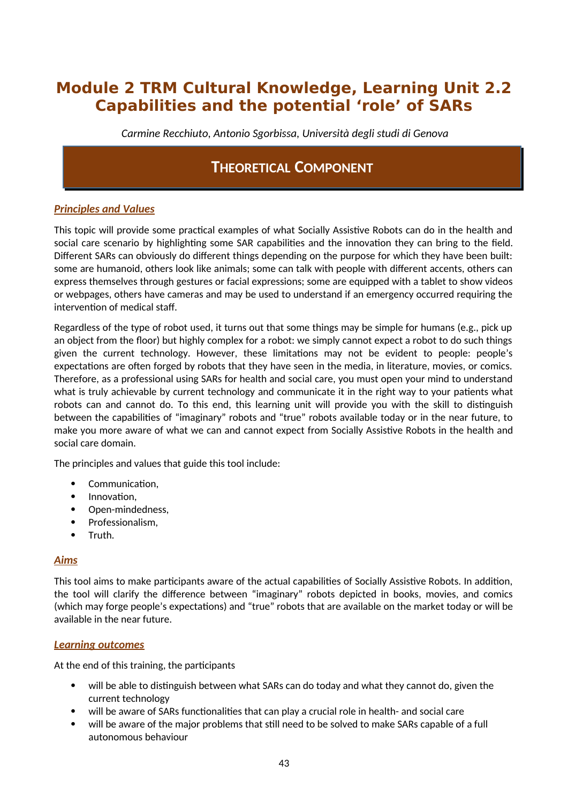# **Module 2 TRM Cultural Knowledge, Learning Unit 2.2 Capabilities and the potential 'role' of SARs**

*Carmine Recchiuto, Antonio Sgorbissa, Università degli studi di Genova*

## **THEORETICAL COMPONENT**

### *Principles and Values*

This topic will provide some practical examples of what Socially Assistive Robots can do in the health and social care scenario by highlighting some SAR capabilities and the innovation they can bring to the field. Different SARs can obviously do different things depending on the purpose for which they have been built: some are humanoid, others look like animals; some can talk with people with different accents, others can express themselves through gestures or facial expressions; some are equipped with a tablet to show videos or webpages, others have cameras and may be used to understand if an emergency occurred requiring the intervention of medical staff.

Regardless of the type of robot used, it turns out that some things may be simple for humans (e.g., pick up an object from the floor) but highly complex for a robot: we simply cannot expect a robot to do such things given the current technology. However, these limitations may not be evident to people: people's expectations are often forged by robots that they have seen in the media, in literature, movies, or comics. Therefore, as a professional using SARs for health and social care, you must open your mind to understand what is truly achievable by current technology and communicate it in the right way to your patients what robots can and cannot do. To this end, this learning unit will provide you with the skill to distinguish between the capabilities of "imaginary" robots and "true" robots available today or in the near future, to make you more aware of what we can and cannot expect from Socially Assistive Robots in the health and social care domain.

The principles and values that guide this tool include:

- Communication,
- Innovation,
- Open-mindedness,
- Professionalism,
- Truth.

### *Aims*

This tool aims to make participants aware of the actual capabilities of Socially Assistive Robots. In addition, the tool will clarify the difference between "imaginary" robots depicted in books, movies, and comics (which may forge people's expectations) and "true" robots that are available on the market today or will be available in the near future.

#### *Learning outcomes*

At the end of this training, the participants

- will be able to distinguish between what SARs can do today and what they cannot do, given the current technology
- will be aware of SARs functionalities that can play a crucial role in health- and social care
- will be aware of the major problems that still need to be solved to make SARs capable of a full autonomous behaviour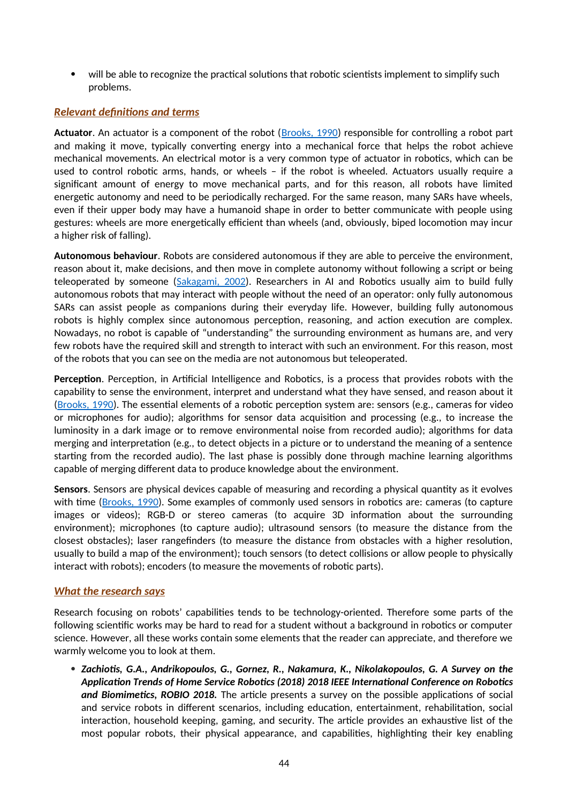will be able to recognize the practical solutions that robotic scientists implement to simplify such problems.

### *Relevant definitions and terms*

**Actuator**. An actuator is a component of the robot ([Brooks, 1990](https://www2.cs.sfu.ca/~vaughan/teaching/889/papers/elephants.pdf)) responsible for controlling a robot part and making it move, typically converting energy into a mechanical force that helps the robot achieve mechanical movements. An electrical motor is a very common type of actuator in robotics, which can be used to control robotic arms, hands, or wheels – if the robot is wheeled. Actuators usually require a significant amount of energy to move mechanical parts, and for this reason, all robots have limited energetic autonomy and need to be periodically recharged. For the same reason, many SARs have wheels, even if their upper body may have a humanoid shape in order to better communicate with people using gestures: wheels are more energetically efficient than wheels (and, obviously, biped locomotion may incur a higher risk of falling).

**Autonomous behaviour**. Robots are considered autonomous if they are able to perceive the environment, reason about it, make decisions, and then move in complete autonomy without following a script or being teleoperated by someone [\(Sakagami, 2002\)](https://www.researchgate.net/publication/3972237_The_intelligent_ASIMO_System_overview_and_integration). Researchers in AI and Robotics usually aim to build fully autonomous robots that may interact with people without the need of an operator: only fully autonomous SARs can assist people as companions during their everyday life. However, building fully autonomous robots is highly complex since autonomous perception, reasoning, and action execution are complex. Nowadays, no robot is capable of "understanding" the surrounding environment as humans are, and very few robots have the required skill and strength to interact with such an environment. For this reason, most of the robots that you can see on the media are not autonomous but teleoperated.

**Perception**. Perception, in Artificial Intelligence and Robotics, is a process that provides robots with the capability to sense the environment, interpret and understand what they have sensed, and reason about it [\(Brooks, 1990\)](https://www2.cs.sfu.ca/~vaughan/teaching/889/papers/elephants.pdf). The essential elements of a robotic perception system are: sensors (e.g., cameras for video or microphones for audio); algorithms for sensor data acquisition and processing (e.g., to increase the luminosity in a dark image or to remove environmental noise from recorded audio); algorithms for data merging and interpretation (e.g., to detect objects in a picture or to understand the meaning of a sentence starting from the recorded audio). The last phase is possibly done through machine learning algorithms capable of merging different data to produce knowledge about the environment.

**Sensors**. Sensors are physical devices capable of measuring and recording a physical quantity as it evolves with time ([Brooks, 1990](https://www2.cs.sfu.ca/~vaughan/teaching/889/papers/elephants.pdf)). Some examples of commonly used sensors in robotics are: cameras (to capture images or videos); RGB-D or stereo cameras (to acquire 3D information about the surrounding environment); microphones (to capture audio); ultrasound sensors (to measure the distance from the closest obstacles); laser rangefinders (to measure the distance from obstacles with a higher resolution, usually to build a map of the environment); touch sensors (to detect collisions or allow people to physically interact with robots); encoders (to measure the movements of robotic parts).

### *What the research says*

Research focusing on robots' capabilities tends to be technology-oriented. Therefore some parts of the following scientific works may be hard to read for a student without a background in robotics or computer science. However, all these works contain some elements that the reader can appreciate, and therefore we warmly welcome you to look at them.

 *Zachiotis, G.A., Andrikopoulos, G., Gornez, R., Nakamura, K., Nikolakopoulos, G. A Survey on the Application Trends of Home Service Robotics (2018) 2018 IEEE International Conference on Robotics and Biomimetics, ROBIO 2018.* The article presents a survey on the possible applications of social and service robots in different scenarios, including education, entertainment, rehabilitation, social interaction, household keeping, gaming, and security. The article provides an exhaustive list of the most popular robots, their physical appearance, and capabilities, highlighting their key enabling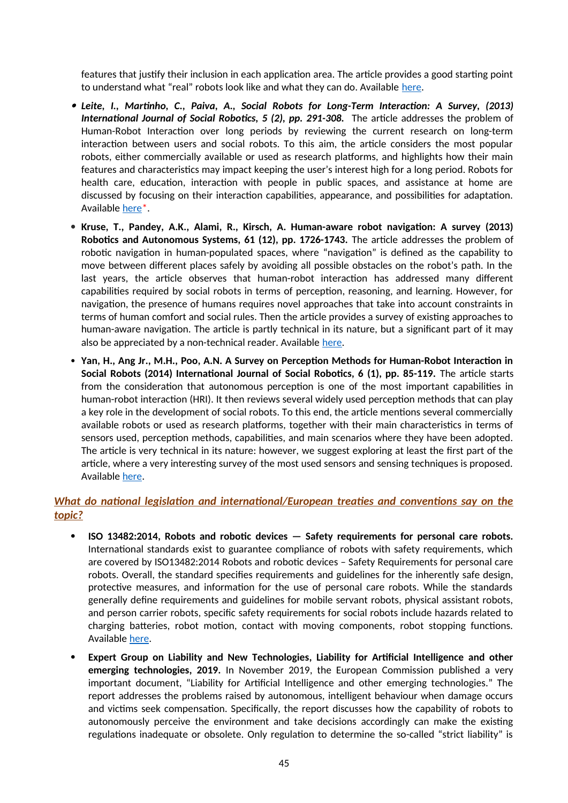features that justify their inclusion in each application area. The article provides a good starting point to understand what "real" robots look like and what they can do. Available [here.](https://www.researchgate.net/publication/330601635_A_Survey_on_the_Application_Trends_of_Home_Service_Robotics)

- *Leite, I., Martinho, C., Paiva, A., Social Robots for Long-Term Interaction: A Survey, (2013) International Journal of Social Robotics, 5 (2), pp. 291-308.* The article addresses the problem of Human-Robot Interaction over long periods by reviewing the current research on long-term interaction between users and social robots. To this aim, the article considers the most popular robots, either commercially available or used as research platforms, and highlights how their main features and characteristics may impact keeping the user's interest high for a long period. Robots for health care, education, interaction with people in public spaces, and assistance at home are discussed by focusing on their interaction capabilities, appearance, and possibilities for adaptation. Available [here\\*](https://link.springer.com/article/10.1007/s12369-013-0178-y).
- **Kruse, T., Pandey, A.K., Alami, R., Kirsch, A. Human-aware robot navigation: A survey (2013) Robotics and Autonomous Systems, 61 (12), pp. 1726-1743.** The article addresses the problem of robotic navigation in human-populated spaces, where "navigation" is defined as the capability to move between different places safely by avoiding all possible obstacles on the robot's path. In the last years, the article observes that human-robot interaction has addressed many different capabilities required by social robots in terms of perception, reasoning, and learning. However, for navigation, the presence of humans requires novel approaches that take into account constraints in terms of human comfort and social rules. Then the article provides a survey of existing approaches to human-aware navigation. The article is partly technical in its nature, but a significant part of it may also be appreciated by a non-technical reader. Available [here](https://hal.archives-ouvertes.fr/hal-01684295/document).
- **Yan, H., Ang Jr., M.H., Poo, A.N. A Survey on Perception Methods for Human-Robot Interaction in Social Robots (2014) International Journal of Social Robotics, 6 (1), pp. 85-119.** The article starts from the consideration that autonomous perception is one of the most important capabilities in human-robot interaction (HRI). It then reviews several widely used perception methods that can play a key role in the development of social robots. To this end, the article mentions several commercially available robots or used as research platforms, together with their main characteristics in terms of sensors used, perception methods, capabilities, and main scenarios where they have been adopted. The article is very technical in its nature: however, we suggest exploring at least the first part of the article, where a very interesting survey of the most used sensors and sensing techniques is proposed. Available [here.](https://www.researchgate.net/publication/257780509_A_Survey_on_Perception_Methods_for_Human-Robot_Interaction_in_Social_Robots)

## *What do national legislation and international/European treaties and conventions say on the topic?*

- **ISO 13482:2014, Robots and robotic devices Safety requirements for personal care robots.** International standards exist to guarantee compliance of robots with safety requirements, which are covered by ISO13482:2014 Robots and robotic devices – Safety Requirements for personal care robots. Overall, the standard specifies requirements and guidelines for the inherently safe design, protective measures, and information for the use of personal care robots. While the standards generally define requirements and guidelines for mobile servant robots, physical assistant robots, and person carrier robots, specific safety requirements for social robots include hazards related to charging batteries, robot motion, contact with moving components, robot stopping functions. Available [here](https://www.iso.org/standard/53820.html).
- **Expert Group on Liability and New Technologies, Liability for Artificial Intelligence and other emerging technologies, 2019.** In November 2019, the European Commission published a very important document, "Liability for Artificial Intelligence and other emerging technologies." The report addresses the problems raised by autonomous, intelligent behaviour when damage occurs and victims seek compensation. Specifically, the report discusses how the capability of robots to autonomously perceive the environment and take decisions accordingly can make the existing regulations inadequate or obsolete. Only regulation to determine the so-called "strict liability" is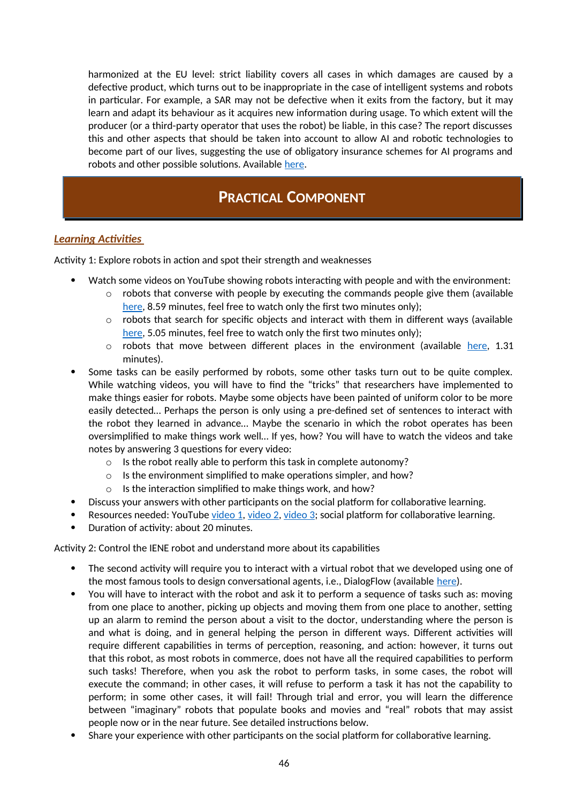harmonized at the EU level: strict liability covers all cases in which damages are caused by a defective product, which turns out to be inappropriate in the case of intelligent systems and robots in particular. For example, a SAR may not be defective when it exits from the factory, but it may learn and adapt its behaviour as it acquires new information during usage. To which extent will the producer (or a third-party operator that uses the robot) be liable, in this case? The report discusses this and other aspects that should be taken into account to allow AI and robotic technologies to become part of our lives, suggesting the use of obligatory insurance schemes for AI programs and robots and other possible solutions. Available [here](https://op.europa.eu/en/publication-detail/-/publication/1c5e30be-1197-11ea-8c1f-01aa75ed71a1/language-en/format-PDF).

## **PRACTICAL COMPONENT**

### *Learning Activities*

Activity 1: Explore robots in action and spot their strength and weaknesses

- Watch some videos on YouTube showing robots interacting with people and with the environment:
	- $\circ$  robots that converse with people by executing the commands people give them (available [here](https://www.youtube.com/watch?v=5IrOXU6Idbw), 8.59 minutes, feel free to watch only the first two minutes only);
	- $\circ$  robots that search for specific objects and interact with them in different ways (available [here](https://www.youtube.com/watch?v=2Jmm4zel134), 5.05 minutes, feel free to watch only the first two minutes only);
	- $\circ$  robots that move between different places in the environment (available [here,](https://www.youtube.com/watch?v=swcu6KxL04E) 1.31 minutes).
- Some tasks can be easily performed by robots, some other tasks turn out to be quite complex. While watching videos, you will have to find the "tricks" that researchers have implemented to make things easier for robots. Maybe some objects have been painted of uniform color to be more easily detected… Perhaps the person is only using a pre-defined set of sentences to interact with the robot they learned in advance… Maybe the scenario in which the robot operates has been oversimplified to make things work well… If yes, how? You will have to watch the videos and take notes by answering 3 questions for every video:
	- o Is the robot really able to perform this task in complete autonomy?
	- o Is the environment simplified to make operations simpler, and how?
	- o Is the interaction simplified to make things work, and how?
- Discuss your answers with other participants on the social platform for collaborative learning.
- Resources needed: YouTube [video 1](https://www.youtube.com/watch?v=5IrOXU6Idbw), [video 2](https://www.youtube.com/watch?v=5IrOXU6Idbw), [video 3](https://www.youtube.com/watch?v=swcu6KxL04E); social platform for collaborative learning.
- Duration of activity: about 20 minutes.

Activity 2: Control the IENE robot and understand more about its capabilities

- The second activity will require you to interact with a virtual robot that we developed using one of the most famous tools to design conversational agents, i.e., DialogFlow (available [here\)](https://bot.dialogflow.com/4575ae65-94a1-4142-9506-492a48e2668f).
- You will have to interact with the robot and ask it to perform a sequence of tasks such as: moving from one place to another, picking up objects and moving them from one place to another, setting up an alarm to remind the person about a visit to the doctor, understanding where the person is and what is doing, and in general helping the person in different ways. Different activities will require different capabilities in terms of perception, reasoning, and action: however, it turns out that this robot, as most robots in commerce, does not have all the required capabilities to perform such tasks! Therefore, when you ask the robot to perform tasks, in some cases, the robot will execute the command; in other cases, it will refuse to perform a task it has not the capability to perform; in some other cases, it will fail! Through trial and error, you will learn the difference between "imaginary" robots that populate books and movies and "real" robots that may assist people now or in the near future. See detailed instructions below.
- Share your experience with other participants on the social platform for collaborative learning.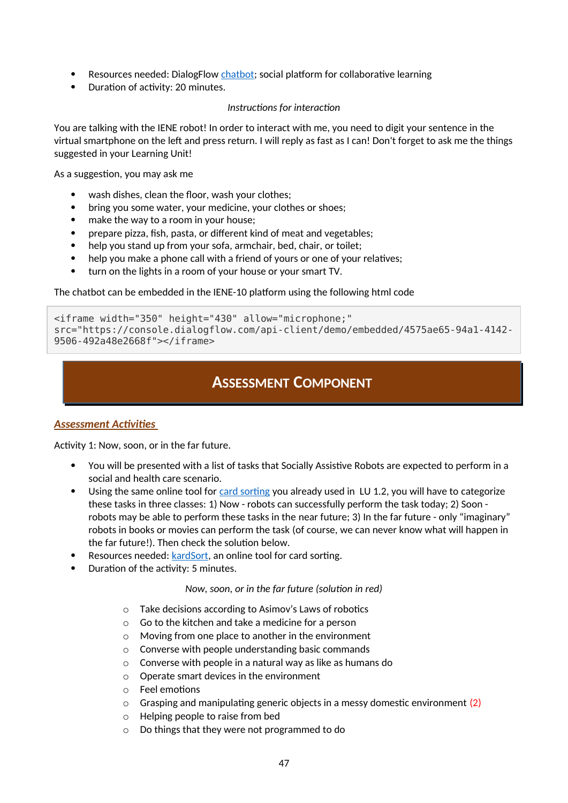- Resources needed: DialogFlow [chatbot](https://bot.dialogflow.com/4575ae65-94a1-4142-9506-492a48e2668f); social platform for collaborative learning
- Duration of activity: 20 minutes.

#### *Instructions for interaction*

You are talking with the IENE robot! In order to interact with me, you need to digit your sentence in the virtual smartphone on the left and press return. I will reply as fast as I can! Don't forget to ask me the things suggested in your Learning Unit!

As a suggestion, you may ask me

- wash dishes, clean the floor, wash your clothes;
- bring you some water, your medicine, your clothes or shoes;
- make the way to a room in your house;
- prepare pizza, fish, pasta, or different kind of meat and vegetables;
- help you stand up from your sofa, armchair, bed, chair, or toilet;
- help you make a phone call with a friend of yours or one of your relatives;
- turn on the lights in a room of your house or your smart TV.

The chatbot can be embedded in the IENE-10 platform using the following html code

```
<iframe width="350" height="430" allow="microphone;" 
src="https://console.dialogflow.com/api-client/demo/embedded/4575ae65-94a1-4142-
9506-492a48e2668f"></iframe>
```
## **ASSESSMENT COMPONENT**

### *Assessment Activities*

Activity 1: Now, soon, or in the far future.

- You will be presented with a list of tasks that Socially Assistive Robots are expected to perform in a social and health care scenario.
- Using the same online tool for [card sorting](https://study.kardsort.com/iene-10-lu-22-now-soon-or-in-the-far-future) you already used in LU 1.2, you will have to categorize these tasks in three classes: 1) Now - robots can successfully perform the task today; 2) Soon robots may be able to perform these tasks in the near future; 3) In the far future - only "imaginary" robots in books or movies can perform the task (of course, we can never know what will happen in the far future!). Then check the solution below.
- Resources needed: [kardSort](https://study.kardsort.com/iene-10-lu-22-now-soon-or-in-the-far-future), an online tool for card sorting.
- Duration of the activity: 5 minutes.

#### *Now, soon, or in the far future (solution in red)*

- o Take decisions according to Asimov's Laws of robotics
- o Go to the kitchen and take a medicine for a person
- o Moving from one place to another in the environment
- o Converse with people understanding basic commands
- o Converse with people in a natural way as like as humans do
- o Operate smart devices in the environment
- o Feel emotions
- $\circ$  Grasping and manipulating generic objects in a messy domestic environment (2)
- o Helping people to raise from bed
- o Do things that they were not programmed to do